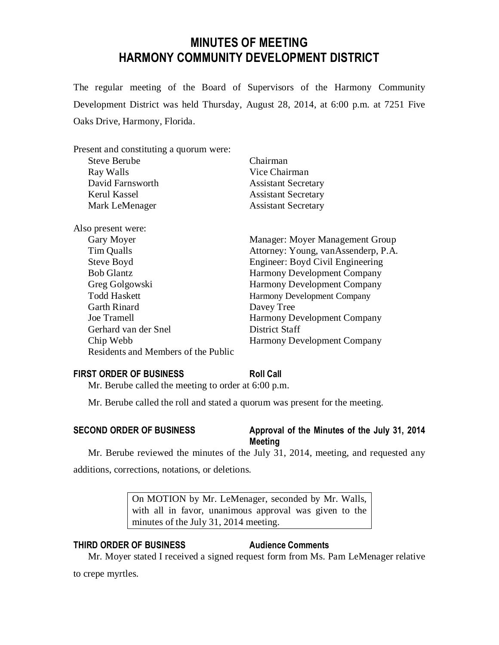## **MINUTES OF MEETING HARMONY COMMUNITY DEVELOPMENT DISTRICT**

The regular meeting of the Board of Supervisors of the Harmony Community Development District was held Thursday, August 28, 2014, at 6:00 p.m. at 7251 Five Oaks Drive, Harmony, Florida.

| Present and constituting a quorum were: |                                     |
|-----------------------------------------|-------------------------------------|
| <b>Steve Berube</b>                     | Chairman                            |
| Ray Walls                               | Vice Chairman                       |
| David Farnsworth                        | <b>Assistant Secretary</b>          |
| Kerul Kassel                            | <b>Assistant Secretary</b>          |
| Mark LeMenager                          | <b>Assistant Secretary</b>          |
| Also present were:                      |                                     |
| Gary Moyer                              | Manager: Moyer Management Group     |
| Tim Qualls                              | Attorney: Young, vanAssenderp, P.A. |
| Steve Boyd                              | Engineer: Boyd Civil Engineering    |
| <b>Bob Glantz</b>                       | <b>Harmony Development Company</b>  |
| Greg Golgowski                          | <b>Harmony Development Company</b>  |
| <b>Todd Haskett</b>                     | Harmony Development Company         |
| <b>Garth Rinard</b>                     | Davey Tree                          |
| Joe Tramell                             | <b>Harmony Development Company</b>  |
| Gerhard van der Snel                    | District Staff                      |
| Chip Webb                               | <b>Harmony Development Company</b>  |
| Residents and Members of the Public     |                                     |
|                                         |                                     |

#### **FIRST ORDER OF BUSINESS Roll Call**

Mr. Berube called the meeting to order at 6:00 p.m.

Mr. Berube called the roll and stated a quorum was present for the meeting.

### **SECOND ORDER OF BUSINESS Approval of the Minutes of the July 31, 2014**

# **Meeting**

Mr. Berube reviewed the minutes of the July 31, 2014, meeting, and requested any additions, corrections, notations, or deletions.

> On MOTION by Mr. LeMenager, seconded by Mr. Walls, with all in favor, unanimous approval was given to the minutes of the July 31, 2014 meeting.

#### **THIRD ORDER OF BUSINESS Audience Comments**

Mr. Moyer stated I received a signed request form from Ms. Pam LeMenager relative

to crepe myrtles.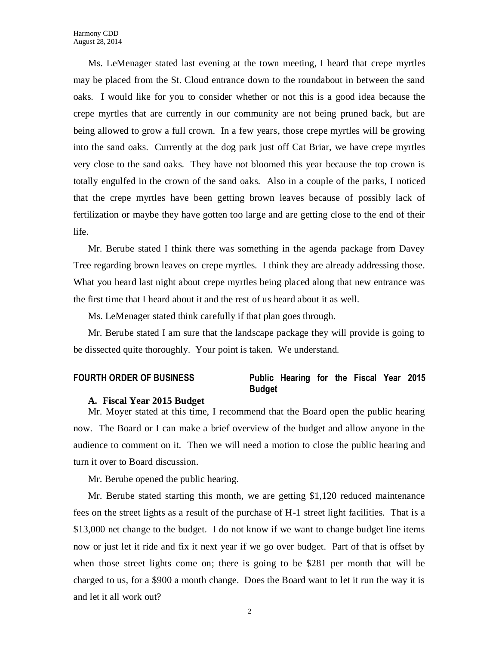Ms. LeMenager stated last evening at the town meeting, I heard that crepe myrtles may be placed from the St. Cloud entrance down to the roundabout in between the sand oaks. I would like for you to consider whether or not this is a good idea because the crepe myrtles that are currently in our community are not being pruned back, but are being allowed to grow a full crown. In a few years, those crepe myrtles will be growing into the sand oaks. Currently at the dog park just off Cat Briar, we have crepe myrtles very close to the sand oaks. They have not bloomed this year because the top crown is totally engulfed in the crown of the sand oaks. Also in a couple of the parks, I noticed that the crepe myrtles have been getting brown leaves because of possibly lack of fertilization or maybe they have gotten too large and are getting close to the end of their life.

Mr. Berube stated I think there was something in the agenda package from Davey Tree regarding brown leaves on crepe myrtles. I think they are already addressing those. What you heard last night about crepe myrtles being placed along that new entrance was the first time that I heard about it and the rest of us heard about it as well.

Ms. LeMenager stated think carefully if that plan goes through.

Mr. Berube stated I am sure that the landscape package they will provide is going to be dissected quite thoroughly. Your point is taken. We understand.

#### **FOURTH ORDER OF BUSINESS Public Hearing for the Fiscal Year 2015 Budget**

#### **A. Fiscal Year 2015 Budget**

Mr. Moyer stated at this time, I recommend that the Board open the public hearing now. The Board or I can make a brief overview of the budget and allow anyone in the audience to comment on it. Then we will need a motion to close the public hearing and turn it over to Board discussion.

Mr. Berube opened the public hearing.

Mr. Berube stated starting this month, we are getting \$1,120 reduced maintenance fees on the street lights as a result of the purchase of H-1 street light facilities. That is a \$13,000 net change to the budget. I do not know if we want to change budget line items now or just let it ride and fix it next year if we go over budget. Part of that is offset by when those street lights come on; there is going to be \$281 per month that will be charged to us, for a \$900 a month change. Does the Board want to let it run the way it is and let it all work out?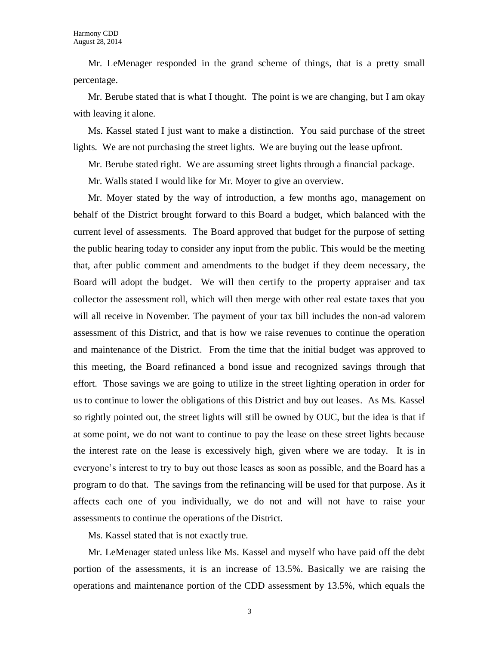Mr. LeMenager responded in the grand scheme of things, that is a pretty small percentage.

Mr. Berube stated that is what I thought. The point is we are changing, but I am okay with leaving it alone.

Ms. Kassel stated I just want to make a distinction. You said purchase of the street lights. We are not purchasing the street lights. We are buying out the lease upfront.

Mr. Berube stated right. We are assuming street lights through a financial package.

Mr. Walls stated I would like for Mr. Moyer to give an overview.

Mr. Moyer stated by the way of introduction, a few months ago, management on behalf of the District brought forward to this Board a budget, which balanced with the current level of assessments. The Board approved that budget for the purpose of setting the public hearing today to consider any input from the public. This would be the meeting that, after public comment and amendments to the budget if they deem necessary, the Board will adopt the budget. We will then certify to the property appraiser and tax collector the assessment roll, which will then merge with other real estate taxes that you will all receive in November. The payment of your tax bill includes the non-ad valorem assessment of this District, and that is how we raise revenues to continue the operation and maintenance of the District. From the time that the initial budget was approved to this meeting, the Board refinanced a bond issue and recognized savings through that effort. Those savings we are going to utilize in the street lighting operation in order for us to continue to lower the obligations of this District and buy out leases. As Ms. Kassel so rightly pointed out, the street lights will still be owned by OUC, but the idea is that if at some point, we do not want to continue to pay the lease on these street lights because the interest rate on the lease is excessively high, given where we are today. It is in everyone's interest to try to buy out those leases as soon as possible, and the Board has a program to do that. The savings from the refinancing will be used for that purpose. As it affects each one of you individually, we do not and will not have to raise your assessments to continue the operations of the District.

Ms. Kassel stated that is not exactly true.

Mr. LeMenager stated unless like Ms. Kassel and myself who have paid off the debt portion of the assessments, it is an increase of 13.5%. Basically we are raising the operations and maintenance portion of the CDD assessment by 13.5%, which equals the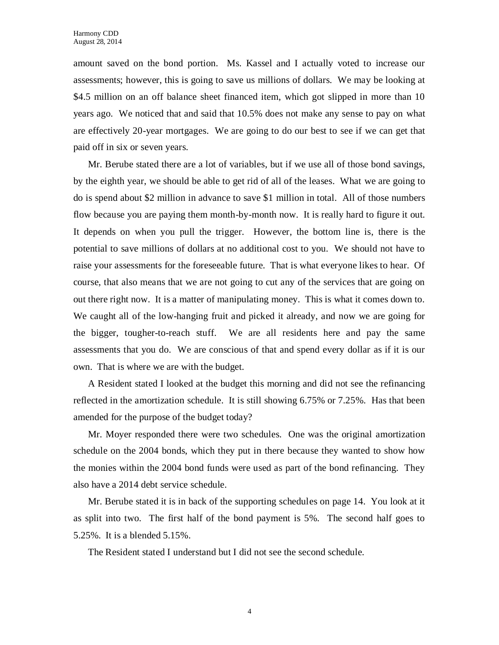amount saved on the bond portion. Ms. Kassel and I actually voted to increase our assessments; however, this is going to save us millions of dollars. We may be looking at \$4.5 million on an off balance sheet financed item, which got slipped in more than 10 years ago. We noticed that and said that 10.5% does not make any sense to pay on what are effectively 20-year mortgages. We are going to do our best to see if we can get that paid off in six or seven years.

Mr. Berube stated there are a lot of variables, but if we use all of those bond savings, by the eighth year, we should be able to get rid of all of the leases. What we are going to do is spend about \$2 million in advance to save \$1 million in total. All of those numbers flow because you are paying them month-by-month now. It is really hard to figure it out. It depends on when you pull the trigger. However, the bottom line is, there is the potential to save millions of dollars at no additional cost to you. We should not have to raise your assessments for the foreseeable future. That is what everyone likes to hear. Of course, that also means that we are not going to cut any of the services that are going on out there right now. It is a matter of manipulating money. This is what it comes down to. We caught all of the low-hanging fruit and picked it already, and now we are going for the bigger, tougher-to-reach stuff. We are all residents here and pay the same assessments that you do. We are conscious of that and spend every dollar as if it is our own. That is where we are with the budget.

A Resident stated I looked at the budget this morning and did not see the refinancing reflected in the amortization schedule. It is still showing 6.75% or 7.25%. Has that been amended for the purpose of the budget today?

Mr. Moyer responded there were two schedules. One was the original amortization schedule on the 2004 bonds, which they put in there because they wanted to show how the monies within the 2004 bond funds were used as part of the bond refinancing. They also have a 2014 debt service schedule.

Mr. Berube stated it is in back of the supporting schedules on page 14. You look at it as split into two. The first half of the bond payment is 5%. The second half goes to 5.25%. It is a blended 5.15%.

The Resident stated I understand but I did not see the second schedule.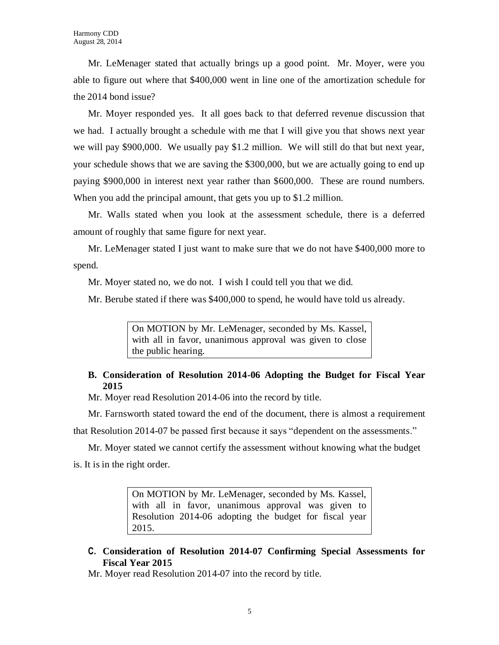Mr. LeMenager stated that actually brings up a good point. Mr. Moyer, were you able to figure out where that \$400,000 went in line one of the amortization schedule for the 2014 bond issue?

Mr. Moyer responded yes. It all goes back to that deferred revenue discussion that we had. I actually brought a schedule with me that I will give you that shows next year we will pay \$900,000. We usually pay \$1.2 million. We will still do that but next year, your schedule shows that we are saving the \$300,000, but we are actually going to end up paying \$900,000 in interest next year rather than \$600,000. These are round numbers. When you add the principal amount, that gets you up to \$1.2 million.

Mr. Walls stated when you look at the assessment schedule, there is a deferred amount of roughly that same figure for next year.

Mr. LeMenager stated I just want to make sure that we do not have \$400,000 more to spend.

Mr. Moyer stated no, we do not. I wish I could tell you that we did.

Mr. Berube stated if there was \$400,000 to spend, he would have told us already.

On MOTION by Mr. LeMenager, seconded by Ms. Kassel, with all in favor, unanimous approval was given to close the public hearing.

### **B. Consideration of Resolution 2014-06 Adopting the Budget for Fiscal Year 2015**

Mr. Moyer read Resolution 2014-06 into the record by title.

Mr. Farnsworth stated toward the end of the document, there is almost a requirement that Resolution 2014-07 be passed first because it says "dependent on the assessments."

Mr. Moyer stated we cannot certify the assessment without knowing what the budget is. It is in the right order.

> On MOTION by Mr. LeMenager, seconded by Ms. Kassel, with all in favor, unanimous approval was given to Resolution 2014-06 adopting the budget for fiscal year 2015.

**C. Consideration of Resolution 2014-07 Confirming Special Assessments for Fiscal Year 2015**

Mr. Moyer read Resolution 2014-07 into the record by title.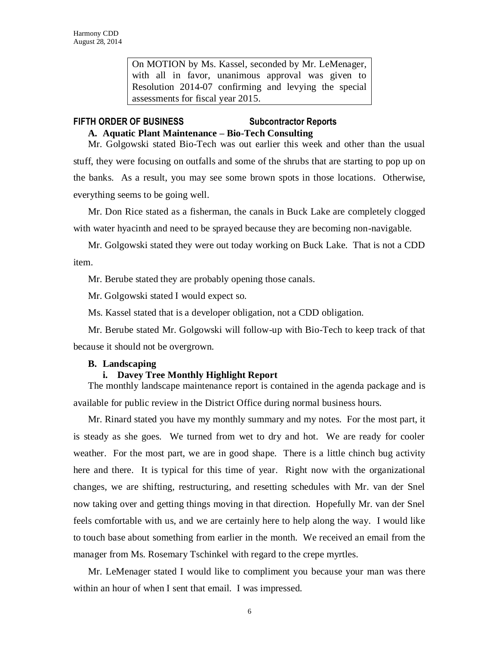On MOTION by Ms. Kassel, seconded by Mr. LeMenager, with all in favor, unanimous approval was given to Resolution 2014-07 confirming and levying the special assessments for fiscal year 2015.

#### **FIFTH ORDER OF BUSINESS Subcontractor Reports**

# **A. Aquatic Plant Maintenance – Bio-Tech Consulting**

Mr. Golgowski stated Bio-Tech was out earlier this week and other than the usual stuff, they were focusing on outfalls and some of the shrubs that are starting to pop up on the banks. As a result, you may see some brown spots in those locations. Otherwise, everything seems to be going well.

Mr. Don Rice stated as a fisherman, the canals in Buck Lake are completely clogged with water hyacinth and need to be sprayed because they are becoming non-navigable.

Mr. Golgowski stated they were out today working on Buck Lake. That is not a CDD item.

Mr. Berube stated they are probably opening those canals.

Mr. Golgowski stated I would expect so.

Ms. Kassel stated that is a developer obligation, not a CDD obligation.

Mr. Berube stated Mr. Golgowski will follow-up with Bio-Tech to keep track of that because it should not be overgrown.

#### **B. Landscaping**

#### **i. Davey Tree Monthly Highlight Report**

The monthly landscape maintenance report is contained in the agenda package and is available for public review in the District Office during normal business hours.

Mr. Rinard stated you have my monthly summary and my notes. For the most part, it is steady as she goes. We turned from wet to dry and hot. We are ready for cooler weather. For the most part, we are in good shape. There is a little chinch bug activity here and there. It is typical for this time of year. Right now with the organizational changes, we are shifting, restructuring, and resetting schedules with Mr. van der Snel now taking over and getting things moving in that direction. Hopefully Mr. van der Snel feels comfortable with us, and we are certainly here to help along the way. I would like to touch base about something from earlier in the month. We received an email from the manager from Ms. Rosemary Tschinkel with regard to the crepe myrtles.

Mr. LeMenager stated I would like to compliment you because your man was there within an hour of when I sent that email. I was impressed.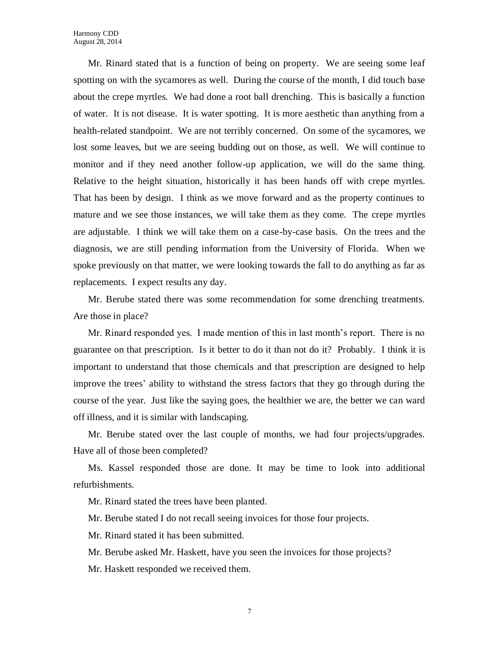Mr. Rinard stated that is a function of being on property. We are seeing some leaf spotting on with the sycamores as well. During the course of the month, I did touch base about the crepe myrtles. We had done a root ball drenching. This is basically a function of water. It is not disease. It is water spotting. It is more aesthetic than anything from a health-related standpoint. We are not terribly concerned. On some of the sycamores, we lost some leaves, but we are seeing budding out on those, as well. We will continue to monitor and if they need another follow-up application, we will do the same thing. Relative to the height situation, historically it has been hands off with crepe myrtles. That has been by design. I think as we move forward and as the property continues to mature and we see those instances, we will take them as they come. The crepe myrtles are adjustable. I think we will take them on a case-by-case basis. On the trees and the diagnosis, we are still pending information from the University of Florida. When we spoke previously on that matter, we were looking towards the fall to do anything as far as replacements. I expect results any day.

Mr. Berube stated there was some recommendation for some drenching treatments. Are those in place?

Mr. Rinard responded yes. I made mention of this in last month's report. There is no guarantee on that prescription. Is it better to do it than not do it? Probably. I think it is important to understand that those chemicals and that prescription are designed to help improve the trees' ability to withstand the stress factors that they go through during the course of the year. Just like the saying goes, the healthier we are, the better we can ward off illness, and it is similar with landscaping.

Mr. Berube stated over the last couple of months, we had four projects/upgrades. Have all of those been completed?

Ms. Kassel responded those are done. It may be time to look into additional refurbishments.

Mr. Rinard stated the trees have been planted.

Mr. Berube stated I do not recall seeing invoices for those four projects.

Mr. Rinard stated it has been submitted.

Mr. Berube asked Mr. Haskett, have you seen the invoices for those projects?

Mr. Haskett responded we received them.

7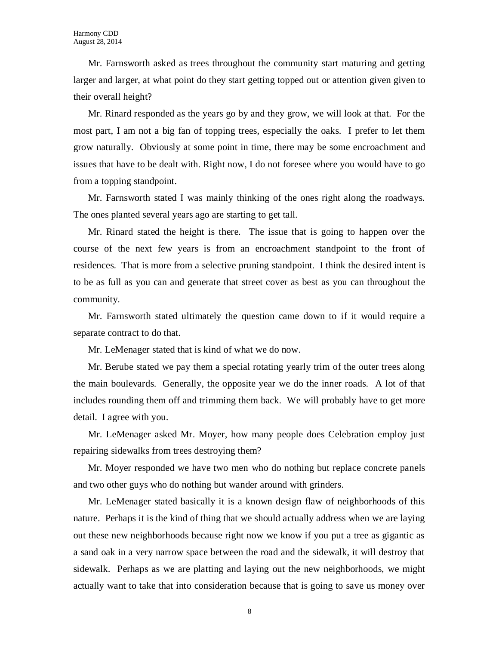Mr. Farnsworth asked as trees throughout the community start maturing and getting larger and larger, at what point do they start getting topped out or attention given given to their overall height?

Mr. Rinard responded as the years go by and they grow, we will look at that. For the most part, I am not a big fan of topping trees, especially the oaks. I prefer to let them grow naturally. Obviously at some point in time, there may be some encroachment and issues that have to be dealt with. Right now, I do not foresee where you would have to go from a topping standpoint.

Mr. Farnsworth stated I was mainly thinking of the ones right along the roadways. The ones planted several years ago are starting to get tall.

Mr. Rinard stated the height is there. The issue that is going to happen over the course of the next few years is from an encroachment standpoint to the front of residences. That is more from a selective pruning standpoint. I think the desired intent is to be as full as you can and generate that street cover as best as you can throughout the community.

Mr. Farnsworth stated ultimately the question came down to if it would require a separate contract to do that.

Mr. LeMenager stated that is kind of what we do now.

Mr. Berube stated we pay them a special rotating yearly trim of the outer trees along the main boulevards. Generally, the opposite year we do the inner roads. A lot of that includes rounding them off and trimming them back. We will probably have to get more detail. I agree with you.

Mr. LeMenager asked Mr. Moyer, how many people does Celebration employ just repairing sidewalks from trees destroying them?

Mr. Moyer responded we have two men who do nothing but replace concrete panels and two other guys who do nothing but wander around with grinders.

Mr. LeMenager stated basically it is a known design flaw of neighborhoods of this nature. Perhaps it is the kind of thing that we should actually address when we are laying out these new neighborhoods because right now we know if you put a tree as gigantic as a sand oak in a very narrow space between the road and the sidewalk, it will destroy that sidewalk. Perhaps as we are platting and laying out the new neighborhoods, we might actually want to take that into consideration because that is going to save us money over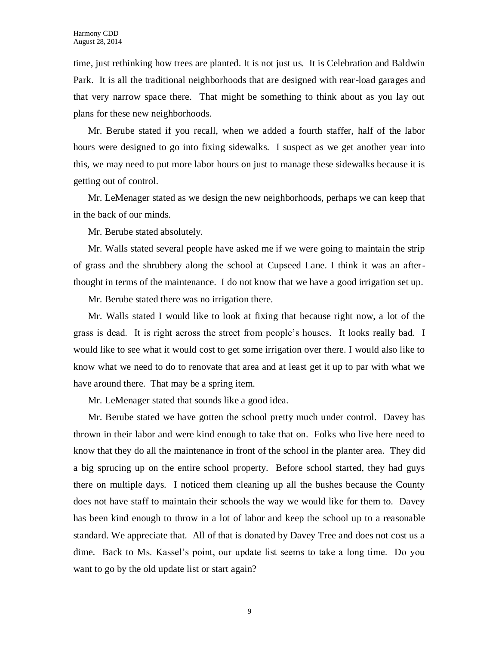time, just rethinking how trees are planted. It is not just us. It is Celebration and Baldwin Park. It is all the traditional neighborhoods that are designed with rear-load garages and that very narrow space there. That might be something to think about as you lay out plans for these new neighborhoods.

Mr. Berube stated if you recall, when we added a fourth staffer, half of the labor hours were designed to go into fixing sidewalks. I suspect as we get another year into this, we may need to put more labor hours on just to manage these sidewalks because it is getting out of control.

Mr. LeMenager stated as we design the new neighborhoods, perhaps we can keep that in the back of our minds.

Mr. Berube stated absolutely.

Mr. Walls stated several people have asked me if we were going to maintain the strip of grass and the shrubbery along the school at Cupseed Lane. I think it was an afterthought in terms of the maintenance. I do not know that we have a good irrigation set up.

Mr. Berube stated there was no irrigation there.

Mr. Walls stated I would like to look at fixing that because right now, a lot of the grass is dead. It is right across the street from people's houses. It looks really bad. I would like to see what it would cost to get some irrigation over there. I would also like to know what we need to do to renovate that area and at least get it up to par with what we have around there. That may be a spring item.

Mr. LeMenager stated that sounds like a good idea.

Mr. Berube stated we have gotten the school pretty much under control. Davey has thrown in their labor and were kind enough to take that on. Folks who live here need to know that they do all the maintenance in front of the school in the planter area. They did a big sprucing up on the entire school property. Before school started, they had guys there on multiple days. I noticed them cleaning up all the bushes because the County does not have staff to maintain their schools the way we would like for them to. Davey has been kind enough to throw in a lot of labor and keep the school up to a reasonable standard. We appreciate that. All of that is donated by Davey Tree and does not cost us a dime. Back to Ms. Kassel's point, our update list seems to take a long time. Do you want to go by the old update list or start again?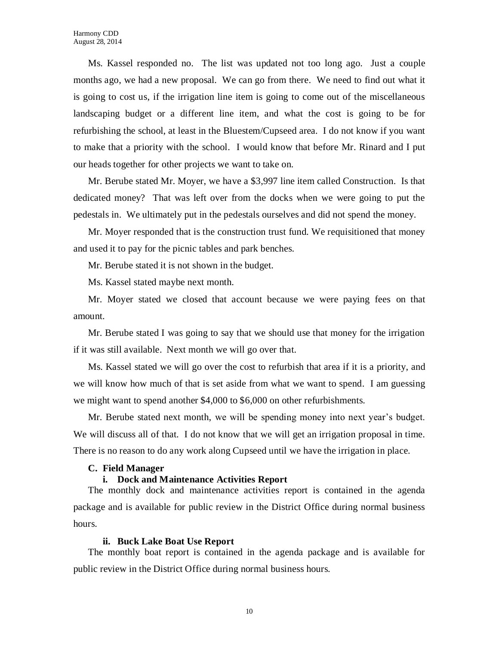Ms. Kassel responded no. The list was updated not too long ago. Just a couple months ago, we had a new proposal. We can go from there. We need to find out what it is going to cost us, if the irrigation line item is going to come out of the miscellaneous landscaping budget or a different line item, and what the cost is going to be for refurbishing the school, at least in the Bluestem/Cupseed area. I do not know if you want to make that a priority with the school. I would know that before Mr. Rinard and I put our heads together for other projects we want to take on.

Mr. Berube stated Mr. Moyer, we have a \$3,997 line item called Construction. Is that dedicated money? That was left over from the docks when we were going to put the pedestals in. We ultimately put in the pedestals ourselves and did not spend the money.

Mr. Moyer responded that is the construction trust fund. We requisitioned that money and used it to pay for the picnic tables and park benches.

Mr. Berube stated it is not shown in the budget.

Ms. Kassel stated maybe next month.

Mr. Moyer stated we closed that account because we were paying fees on that amount.

Mr. Berube stated I was going to say that we should use that money for the irrigation if it was still available. Next month we will go over that.

Ms. Kassel stated we will go over the cost to refurbish that area if it is a priority, and we will know how much of that is set aside from what we want to spend. I am guessing we might want to spend another \$4,000 to \$6,000 on other refurbishments.

Mr. Berube stated next month, we will be spending money into next year's budget. We will discuss all of that. I do not know that we will get an irrigation proposal in time. There is no reason to do any work along Cupseed until we have the irrigation in place.

#### **C. Field Manager**

#### **i. Dock and Maintenance Activities Report**

The monthly dock and maintenance activities report is contained in the agenda package and is available for public review in the District Office during normal business hours.

#### **ii. Buck Lake Boat Use Report**

The monthly boat report is contained in the agenda package and is available for public review in the District Office during normal business hours.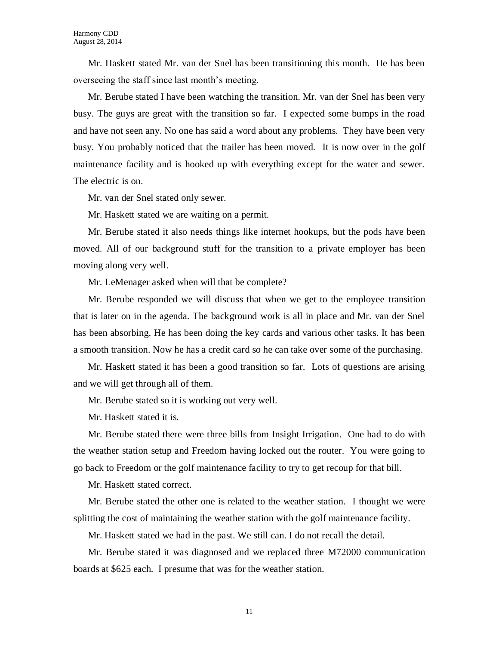Mr. Haskett stated Mr. van der Snel has been transitioning this month. He has been overseeing the staff since last month's meeting.

Mr. Berube stated I have been watching the transition. Mr. van der Snel has been very busy. The guys are great with the transition so far. I expected some bumps in the road and have not seen any. No one has said a word about any problems. They have been very busy. You probably noticed that the trailer has been moved. It is now over in the golf maintenance facility and is hooked up with everything except for the water and sewer. The electric is on.

Mr. van der Snel stated only sewer.

Mr. Haskett stated we are waiting on a permit.

Mr. Berube stated it also needs things like internet hookups, but the pods have been moved. All of our background stuff for the transition to a private employer has been moving along very well.

Mr. LeMenager asked when will that be complete?

Mr. Berube responded we will discuss that when we get to the employee transition that is later on in the agenda. The background work is all in place and Mr. van der Snel has been absorbing. He has been doing the key cards and various other tasks. It has been a smooth transition. Now he has a credit card so he can take over some of the purchasing.

Mr. Haskett stated it has been a good transition so far. Lots of questions are arising and we will get through all of them.

Mr. Berube stated so it is working out very well.

Mr. Haskett stated it is.

Mr. Berube stated there were three bills from Insight Irrigation. One had to do with the weather station setup and Freedom having locked out the router. You were going to go back to Freedom or the golf maintenance facility to try to get recoup for that bill.

Mr. Haskett stated correct.

Mr. Berube stated the other one is related to the weather station. I thought we were splitting the cost of maintaining the weather station with the golf maintenance facility.

Mr. Haskett stated we had in the past. We still can. I do not recall the detail.

Mr. Berube stated it was diagnosed and we replaced three M72000 communication boards at \$625 each. I presume that was for the weather station.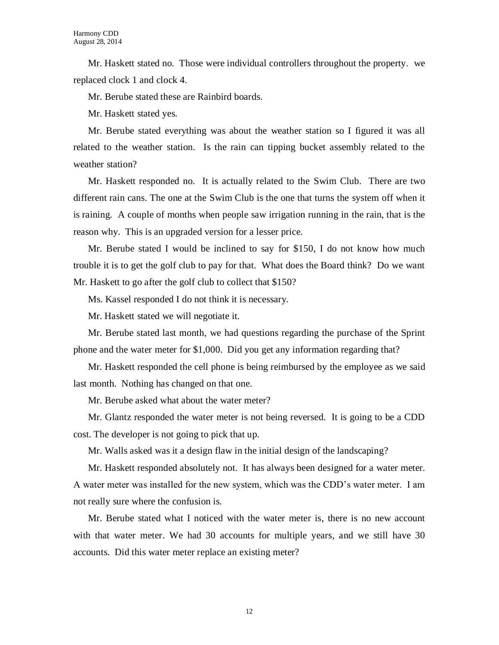Mr. Haskett stated no. Those were individual controllers throughout the property. we replaced clock 1 and clock 4.

Mr. Berube stated these are Rainbird boards.

Mr. Haskett stated yes.

Mr. Berube stated everything was about the weather station so I figured it was all related to the weather station. Is the rain can tipping bucket assembly related to the weather station?

Mr. Haskett responded no. It is actually related to the Swim Club. There are two different rain cans. The one at the Swim Club is the one that turns the system off when it is raining. A couple of months when people saw irrigation running in the rain, that is the reason why. This is an upgraded version for a lesser price.

Mr. Berube stated I would be inclined to say for \$150, I do not know how much trouble it is to get the golf club to pay for that. What does the Board think? Do we want Mr. Haskett to go after the golf club to collect that \$150?

Ms. Kassel responded I do not think it is necessary.

Mr. Haskett stated we will negotiate it.

Mr. Berube stated last month, we had questions regarding the purchase of the Sprint phone and the water meter for \$1,000. Did you get any information regarding that?

Mr. Haskett responded the cell phone is being reimbursed by the employee as we said last month. Nothing has changed on that one.

Mr. Berube asked what about the water meter?

Mr. Glantz responded the water meter is not being reversed. It is going to be a CDD cost. The developer is not going to pick that up.

Mr. Walls asked was it a design flaw in the initial design of the landscaping?

Mr. Haskett responded absolutely not. It has always been designed for a water meter. A water meter was installed for the new system, which was the CDD's water meter. I am not really sure where the confusion is.

Mr. Berube stated what I noticed with the water meter is, there is no new account with that water meter. We had 30 accounts for multiple years, and we still have 30 accounts. Did this water meter replace an existing meter?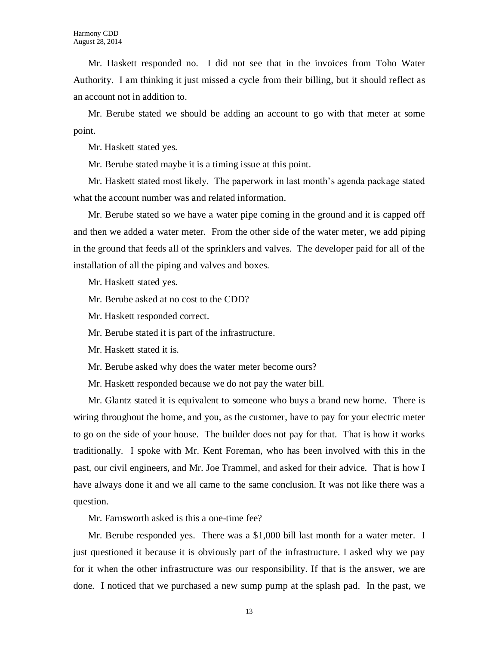Mr. Haskett responded no. I did not see that in the invoices from Toho Water Authority. I am thinking it just missed a cycle from their billing, but it should reflect as an account not in addition to.

Mr. Berube stated we should be adding an account to go with that meter at some point.

Mr. Haskett stated yes.

Mr. Berube stated maybe it is a timing issue at this point.

Mr. Haskett stated most likely. The paperwork in last month's agenda package stated what the account number was and related information.

Mr. Berube stated so we have a water pipe coming in the ground and it is capped off and then we added a water meter. From the other side of the water meter, we add piping in the ground that feeds all of the sprinklers and valves. The developer paid for all of the installation of all the piping and valves and boxes.

Mr. Haskett stated yes.

Mr. Berube asked at no cost to the CDD?

Mr. Haskett responded correct.

Mr. Berube stated it is part of the infrastructure.

Mr. Haskett stated it is.

Mr. Berube asked why does the water meter become ours?

Mr. Haskett responded because we do not pay the water bill.

Mr. Glantz stated it is equivalent to someone who buys a brand new home. There is wiring throughout the home, and you, as the customer, have to pay for your electric meter to go on the side of your house. The builder does not pay for that. That is how it works traditionally. I spoke with Mr. Kent Foreman, who has been involved with this in the past, our civil engineers, and Mr. Joe Trammel, and asked for their advice. That is how I have always done it and we all came to the same conclusion. It was not like there was a question.

Mr. Farnsworth asked is this a one-time fee?

Mr. Berube responded yes. There was a \$1,000 bill last month for a water meter. I just questioned it because it is obviously part of the infrastructure. I asked why we pay for it when the other infrastructure was our responsibility. If that is the answer, we are done. I noticed that we purchased a new sump pump at the splash pad. In the past, we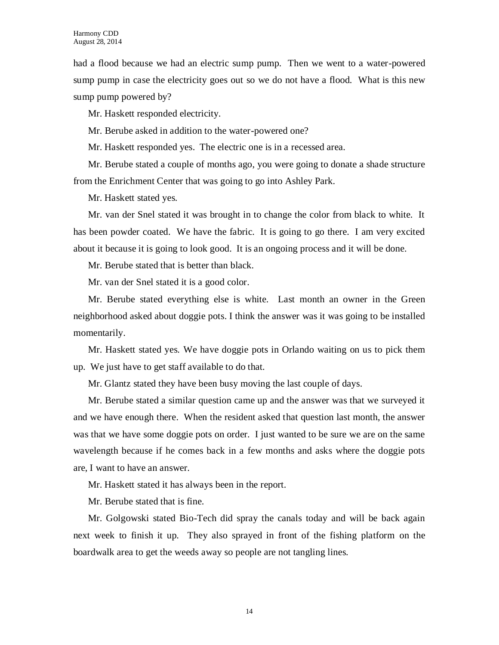had a flood because we had an electric sump pump. Then we went to a water-powered sump pump in case the electricity goes out so we do not have a flood. What is this new sump pump powered by?

Mr. Haskett responded electricity.

Mr. Berube asked in addition to the water-powered one?

Mr. Haskett responded yes. The electric one is in a recessed area.

Mr. Berube stated a couple of months ago, you were going to donate a shade structure from the Enrichment Center that was going to go into Ashley Park.

Mr. Haskett stated yes.

Mr. van der Snel stated it was brought in to change the color from black to white. It has been powder coated. We have the fabric. It is going to go there. I am very excited about it because it is going to look good. It is an ongoing process and it will be done.

Mr. Berube stated that is better than black.

Mr. van der Snel stated it is a good color.

Mr. Berube stated everything else is white. Last month an owner in the Green neighborhood asked about doggie pots. I think the answer was it was going to be installed momentarily.

Mr. Haskett stated yes. We have doggie pots in Orlando waiting on us to pick them up. We just have to get staff available to do that.

Mr. Glantz stated they have been busy moving the last couple of days.

Mr. Berube stated a similar question came up and the answer was that we surveyed it and we have enough there. When the resident asked that question last month, the answer was that we have some doggie pots on order. I just wanted to be sure we are on the same wavelength because if he comes back in a few months and asks where the doggie pots are, I want to have an answer.

Mr. Haskett stated it has always been in the report.

Mr. Berube stated that is fine.

Mr. Golgowski stated Bio-Tech did spray the canals today and will be back again next week to finish it up. They also sprayed in front of the fishing platform on the boardwalk area to get the weeds away so people are not tangling lines.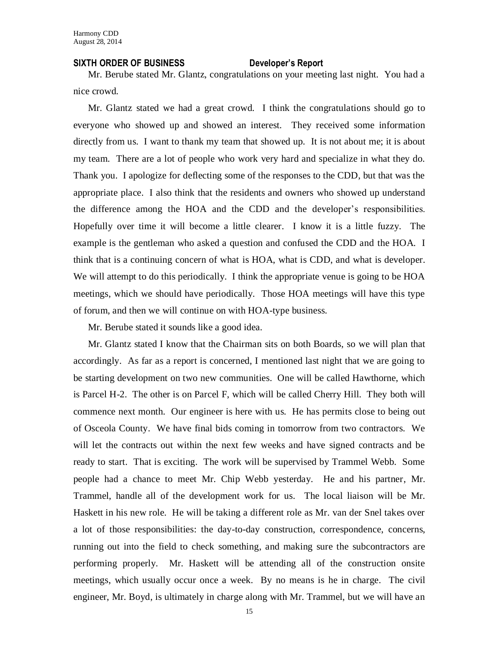#### **SIXTH ORDER OF BUSINESS Developer's Report**

Mr. Berube stated Mr. Glantz, congratulations on your meeting last night. You had a nice crowd.

Mr. Glantz stated we had a great crowd. I think the congratulations should go to everyone who showed up and showed an interest. They received some information directly from us. I want to thank my team that showed up. It is not about me; it is about my team. There are a lot of people who work very hard and specialize in what they do. Thank you. I apologize for deflecting some of the responses to the CDD, but that was the appropriate place. I also think that the residents and owners who showed up understand the difference among the HOA and the CDD and the developer's responsibilities. Hopefully over time it will become a little clearer. I know it is a little fuzzy. The example is the gentleman who asked a question and confused the CDD and the HOA. I think that is a continuing concern of what is HOA, what is CDD, and what is developer. We will attempt to do this periodically. I think the appropriate venue is going to be HOA meetings, which we should have periodically. Those HOA meetings will have this type of forum, and then we will continue on with HOA-type business.

Mr. Berube stated it sounds like a good idea.

Mr. Glantz stated I know that the Chairman sits on both Boards, so we will plan that accordingly. As far as a report is concerned, I mentioned last night that we are going to be starting development on two new communities. One will be called Hawthorne, which is Parcel H-2. The other is on Parcel F, which will be called Cherry Hill. They both will commence next month. Our engineer is here with us. He has permits close to being out of Osceola County. We have final bids coming in tomorrow from two contractors. We will let the contracts out within the next few weeks and have signed contracts and be ready to start. That is exciting. The work will be supervised by Trammel Webb. Some people had a chance to meet Mr. Chip Webb yesterday. He and his partner, Mr. Trammel, handle all of the development work for us. The local liaison will be Mr. Haskett in his new role. He will be taking a different role as Mr. van der Snel takes over a lot of those responsibilities: the day-to-day construction, correspondence, concerns, running out into the field to check something, and making sure the subcontractors are performing properly. Mr. Haskett will be attending all of the construction onsite meetings, which usually occur once a week. By no means is he in charge. The civil engineer, Mr. Boyd, is ultimately in charge along with Mr. Trammel, but we will have an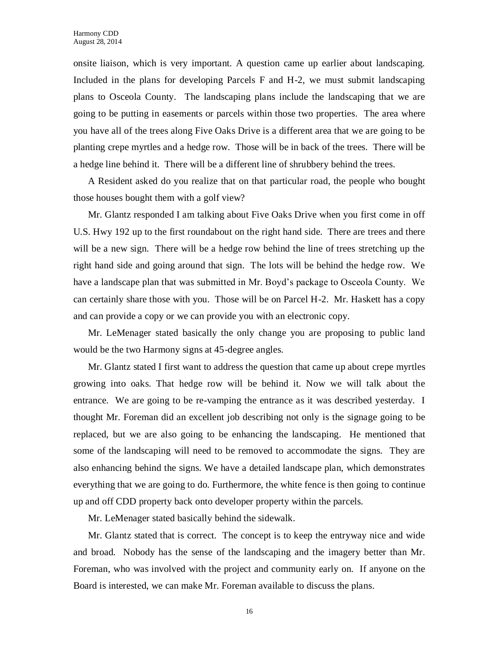onsite liaison, which is very important. A question came up earlier about landscaping. Included in the plans for developing Parcels F and H-2, we must submit landscaping plans to Osceola County. The landscaping plans include the landscaping that we are going to be putting in easements or parcels within those two properties. The area where you have all of the trees along Five Oaks Drive is a different area that we are going to be planting crepe myrtles and a hedge row. Those will be in back of the trees. There will be a hedge line behind it. There will be a different line of shrubbery behind the trees.

A Resident asked do you realize that on that particular road, the people who bought those houses bought them with a golf view?

Mr. Glantz responded I am talking about Five Oaks Drive when you first come in off U.S. Hwy 192 up to the first roundabout on the right hand side. There are trees and there will be a new sign. There will be a hedge row behind the line of trees stretching up the right hand side and going around that sign. The lots will be behind the hedge row. We have a landscape plan that was submitted in Mr. Boyd's package to Osceola County. We can certainly share those with you. Those will be on Parcel H-2. Mr. Haskett has a copy and can provide a copy or we can provide you with an electronic copy.

Mr. LeMenager stated basically the only change you are proposing to public land would be the two Harmony signs at 45-degree angles.

Mr. Glantz stated I first want to address the question that came up about crepe myrtles growing into oaks. That hedge row will be behind it. Now we will talk about the entrance. We are going to be re-vamping the entrance as it was described yesterday. I thought Mr. Foreman did an excellent job describing not only is the signage going to be replaced, but we are also going to be enhancing the landscaping. He mentioned that some of the landscaping will need to be removed to accommodate the signs. They are also enhancing behind the signs. We have a detailed landscape plan, which demonstrates everything that we are going to do. Furthermore, the white fence is then going to continue up and off CDD property back onto developer property within the parcels.

Mr. LeMenager stated basically behind the sidewalk.

Mr. Glantz stated that is correct. The concept is to keep the entryway nice and wide and broad. Nobody has the sense of the landscaping and the imagery better than Mr. Foreman, who was involved with the project and community early on. If anyone on the Board is interested, we can make Mr. Foreman available to discuss the plans.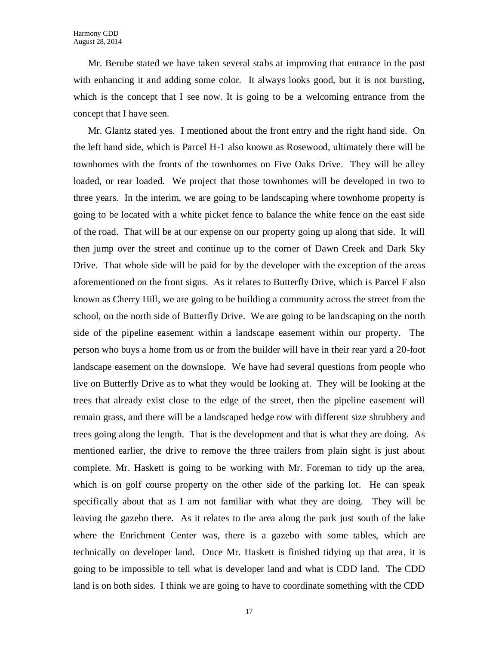Mr. Berube stated we have taken several stabs at improving that entrance in the past with enhancing it and adding some color. It always looks good, but it is not bursting, which is the concept that I see now. It is going to be a welcoming entrance from the concept that I have seen.

Mr. Glantz stated yes. I mentioned about the front entry and the right hand side. On the left hand side, which is Parcel H-1 also known as Rosewood, ultimately there will be townhomes with the fronts of the townhomes on Five Oaks Drive. They will be alley loaded, or rear loaded. We project that those townhomes will be developed in two to three years. In the interim, we are going to be landscaping where townhome property is going to be located with a white picket fence to balance the white fence on the east side of the road. That will be at our expense on our property going up along that side. It will then jump over the street and continue up to the corner of Dawn Creek and Dark Sky Drive. That whole side will be paid for by the developer with the exception of the areas aforementioned on the front signs. As it relates to Butterfly Drive, which is Parcel F also known as Cherry Hill, we are going to be building a community across the street from the school, on the north side of Butterfly Drive. We are going to be landscaping on the north side of the pipeline easement within a landscape easement within our property. The person who buys a home from us or from the builder will have in their rear yard a 20-foot landscape easement on the downslope. We have had several questions from people who live on Butterfly Drive as to what they would be looking at. They will be looking at the trees that already exist close to the edge of the street, then the pipeline easement will remain grass, and there will be a landscaped hedge row with different size shrubbery and trees going along the length. That is the development and that is what they are doing. As mentioned earlier, the drive to remove the three trailers from plain sight is just about complete. Mr. Haskett is going to be working with Mr. Foreman to tidy up the area, which is on golf course property on the other side of the parking lot. He can speak specifically about that as I am not familiar with what they are doing. They will be leaving the gazebo there. As it relates to the area along the park just south of the lake where the Enrichment Center was, there is a gazebo with some tables, which are technically on developer land. Once Mr. Haskett is finished tidying up that area, it is going to be impossible to tell what is developer land and what is CDD land. The CDD land is on both sides. I think we are going to have to coordinate something with the CDD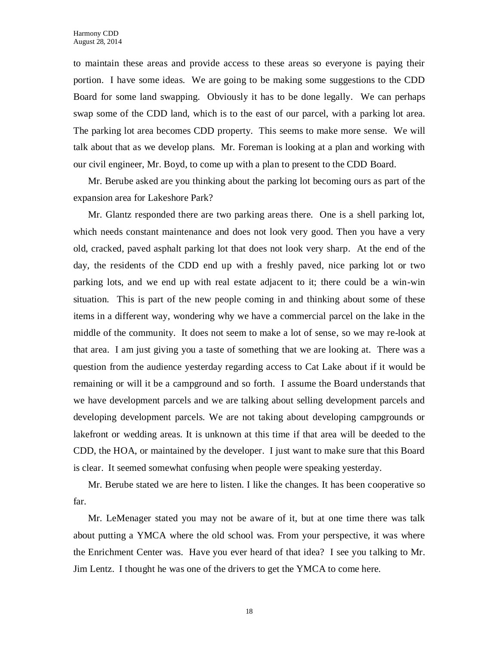to maintain these areas and provide access to these areas so everyone is paying their portion. I have some ideas. We are going to be making some suggestions to the CDD Board for some land swapping. Obviously it has to be done legally. We can perhaps swap some of the CDD land, which is to the east of our parcel, with a parking lot area. The parking lot area becomes CDD property. This seems to make more sense. We will talk about that as we develop plans. Mr. Foreman is looking at a plan and working with our civil engineer, Mr. Boyd, to come up with a plan to present to the CDD Board.

Mr. Berube asked are you thinking about the parking lot becoming ours as part of the expansion area for Lakeshore Park?

Mr. Glantz responded there are two parking areas there. One is a shell parking lot, which needs constant maintenance and does not look very good. Then you have a very old, cracked, paved asphalt parking lot that does not look very sharp. At the end of the day, the residents of the CDD end up with a freshly paved, nice parking lot or two parking lots, and we end up with real estate adjacent to it; there could be a win-win situation. This is part of the new people coming in and thinking about some of these items in a different way, wondering why we have a commercial parcel on the lake in the middle of the community. It does not seem to make a lot of sense, so we may re-look at that area. I am just giving you a taste of something that we are looking at. There was a question from the audience yesterday regarding access to Cat Lake about if it would be remaining or will it be a campground and so forth. I assume the Board understands that we have development parcels and we are talking about selling development parcels and developing development parcels. We are not taking about developing campgrounds or lakefront or wedding areas. It is unknown at this time if that area will be deeded to the CDD, the HOA, or maintained by the developer. I just want to make sure that this Board is clear. It seemed somewhat confusing when people were speaking yesterday.

Mr. Berube stated we are here to listen. I like the changes. It has been cooperative so far.

Mr. LeMenager stated you may not be aware of it, but at one time there was talk about putting a YMCA where the old school was. From your perspective, it was where the Enrichment Center was. Have you ever heard of that idea? I see you talking to Mr. Jim Lentz. I thought he was one of the drivers to get the YMCA to come here.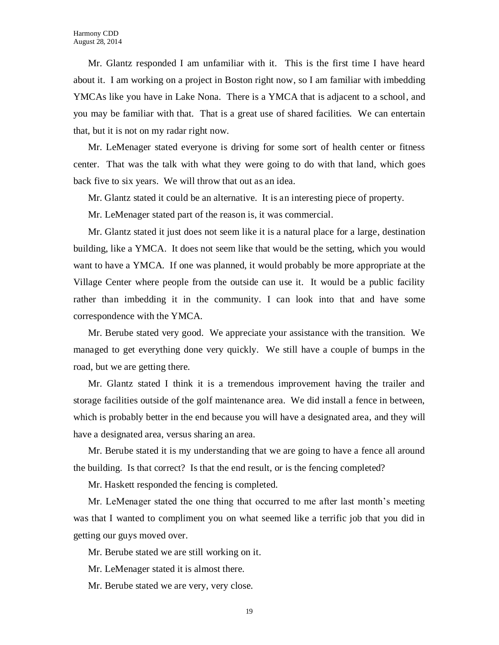Mr. Glantz responded I am unfamiliar with it. This is the first time I have heard about it. I am working on a project in Boston right now, so I am familiar with imbedding YMCAs like you have in Lake Nona. There is a YMCA that is adjacent to a school, and you may be familiar with that. That is a great use of shared facilities. We can entertain that, but it is not on my radar right now.

Mr. LeMenager stated everyone is driving for some sort of health center or fitness center. That was the talk with what they were going to do with that land, which goes back five to six years. We will throw that out as an idea.

Mr. Glantz stated it could be an alternative. It is an interesting piece of property.

Mr. LeMenager stated part of the reason is, it was commercial.

Mr. Glantz stated it just does not seem like it is a natural place for a large, destination building, like a YMCA. It does not seem like that would be the setting, which you would want to have a YMCA. If one was planned, it would probably be more appropriate at the Village Center where people from the outside can use it. It would be a public facility rather than imbedding it in the community. I can look into that and have some correspondence with the YMCA.

Mr. Berube stated very good. We appreciate your assistance with the transition. We managed to get everything done very quickly. We still have a couple of bumps in the road, but we are getting there.

Mr. Glantz stated I think it is a tremendous improvement having the trailer and storage facilities outside of the golf maintenance area. We did install a fence in between, which is probably better in the end because you will have a designated area, and they will have a designated area, versus sharing an area.

Mr. Berube stated it is my understanding that we are going to have a fence all around the building. Is that correct? Is that the end result, or is the fencing completed?

Mr. Haskett responded the fencing is completed.

Mr. LeMenager stated the one thing that occurred to me after last month's meeting was that I wanted to compliment you on what seemed like a terrific job that you did in getting our guys moved over.

Mr. Berube stated we are still working on it.

Mr. LeMenager stated it is almost there.

Mr. Berube stated we are very, very close.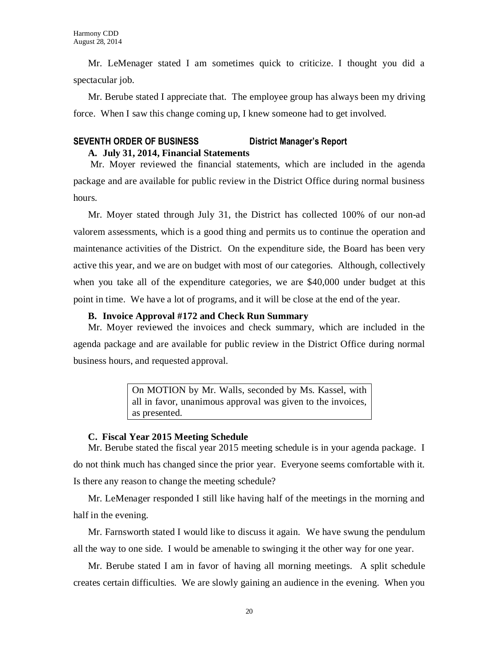Mr. LeMenager stated I am sometimes quick to criticize. I thought you did a spectacular job.

Mr. Berube stated I appreciate that. The employee group has always been my driving force. When I saw this change coming up, I knew someone had to get involved.

### **SEVENTH ORDER OF BUSINESS District Manager's Report A. July 31, 2014, Financial Statements**

Mr. Moyer reviewed the financial statements, which are included in the agenda package and are available for public review in the District Office during normal business hours.

Mr. Moyer stated through July 31, the District has collected 100% of our non-ad valorem assessments, which is a good thing and permits us to continue the operation and maintenance activities of the District. On the expenditure side, the Board has been very active this year, and we are on budget with most of our categories. Although, collectively when you take all of the expenditure categories, we are \$40,000 under budget at this point in time. We have a lot of programs, and it will be close at the end of the year.

#### **B. Invoice Approval #172 and Check Run Summary**

Mr. Moyer reviewed the invoices and check summary, which are included in the agenda package and are available for public review in the District Office during normal business hours, and requested approval.

> On MOTION by Mr. Walls, seconded by Ms. Kassel, with all in favor, unanimous approval was given to the invoices, as presented.

#### **C. Fiscal Year 2015 Meeting Schedule**

Mr. Berube stated the fiscal year 2015 meeting schedule is in your agenda package. I do not think much has changed since the prior year. Everyone seems comfortable with it. Is there any reason to change the meeting schedule?

Mr. LeMenager responded I still like having half of the meetings in the morning and half in the evening.

Mr. Farnsworth stated I would like to discuss it again. We have swung the pendulum all the way to one side. I would be amenable to swinging it the other way for one year.

Mr. Berube stated I am in favor of having all morning meetings. A split schedule creates certain difficulties. We are slowly gaining an audience in the evening. When you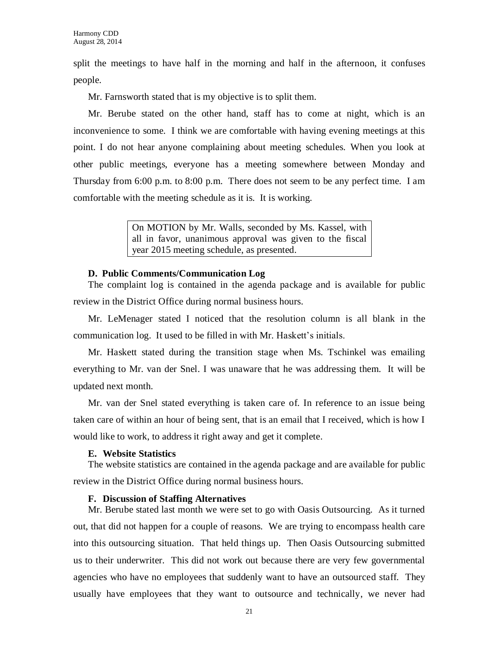split the meetings to have half in the morning and half in the afternoon, it confuses people.

Mr. Farnsworth stated that is my objective is to split them.

Mr. Berube stated on the other hand, staff has to come at night, which is an inconvenience to some. I think we are comfortable with having evening meetings at this point. I do not hear anyone complaining about meeting schedules. When you look at other public meetings, everyone has a meeting somewhere between Monday and Thursday from 6:00 p.m. to 8:00 p.m. There does not seem to be any perfect time. I am comfortable with the meeting schedule as it is. It is working.

> On MOTION by Mr. Walls, seconded by Ms. Kassel, with all in favor, unanimous approval was given to the fiscal year 2015 meeting schedule, as presented.

#### **D. Public Comments/Communication Log**

The complaint log is contained in the agenda package and is available for public review in the District Office during normal business hours.

Mr. LeMenager stated I noticed that the resolution column is all blank in the communication log. It used to be filled in with Mr. Haskett's initials.

Mr. Haskett stated during the transition stage when Ms. Tschinkel was emailing everything to Mr. van der Snel. I was unaware that he was addressing them. It will be updated next month.

Mr. van der Snel stated everything is taken care of. In reference to an issue being taken care of within an hour of being sent, that is an email that I received, which is how I would like to work, to address it right away and get it complete.

#### **E. Website Statistics**

The website statistics are contained in the agenda package and are available for public review in the District Office during normal business hours.

#### **F. Discussion of Staffing Alternatives**

Mr. Berube stated last month we were set to go with Oasis Outsourcing. As it turned out, that did not happen for a couple of reasons. We are trying to encompass health care into this outsourcing situation. That held things up. Then Oasis Outsourcing submitted us to their underwriter. This did not work out because there are very few governmental agencies who have no employees that suddenly want to have an outsourced staff. They usually have employees that they want to outsource and technically, we never had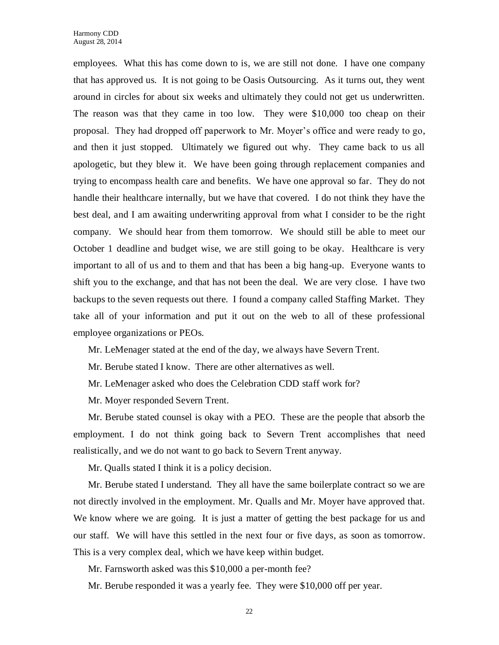employees. What this has come down to is, we are still not done. I have one company that has approved us. It is not going to be Oasis Outsourcing. As it turns out, they went around in circles for about six weeks and ultimately they could not get us underwritten. The reason was that they came in too low. They were \$10,000 too cheap on their proposal. They had dropped off paperwork to Mr. Moyer's office and were ready to go, and then it just stopped. Ultimately we figured out why. They came back to us all apologetic, but they blew it. We have been going through replacement companies and trying to encompass health care and benefits. We have one approval so far. They do not handle their healthcare internally, but we have that covered. I do not think they have the best deal, and I am awaiting underwriting approval from what I consider to be the right company. We should hear from them tomorrow. We should still be able to meet our October 1 deadline and budget wise, we are still going to be okay. Healthcare is very important to all of us and to them and that has been a big hang-up. Everyone wants to shift you to the exchange, and that has not been the deal. We are very close. I have two backups to the seven requests out there. I found a company called Staffing Market. They take all of your information and put it out on the web to all of these professional employee organizations or PEOs.

Mr. LeMenager stated at the end of the day, we always have Severn Trent.

Mr. Berube stated I know. There are other alternatives as well.

Mr. LeMenager asked who does the Celebration CDD staff work for?

Mr. Moyer responded Severn Trent.

Mr. Berube stated counsel is okay with a PEO. These are the people that absorb the employment. I do not think going back to Severn Trent accomplishes that need realistically, and we do not want to go back to Severn Trent anyway.

Mr. Qualls stated I think it is a policy decision.

Mr. Berube stated I understand. They all have the same boilerplate contract so we are not directly involved in the employment. Mr. Qualls and Mr. Moyer have approved that. We know where we are going. It is just a matter of getting the best package for us and our staff. We will have this settled in the next four or five days, as soon as tomorrow. This is a very complex deal, which we have keep within budget.

Mr. Farnsworth asked was this \$10,000 a per-month fee?

Mr. Berube responded it was a yearly fee. They were \$10,000 off per year.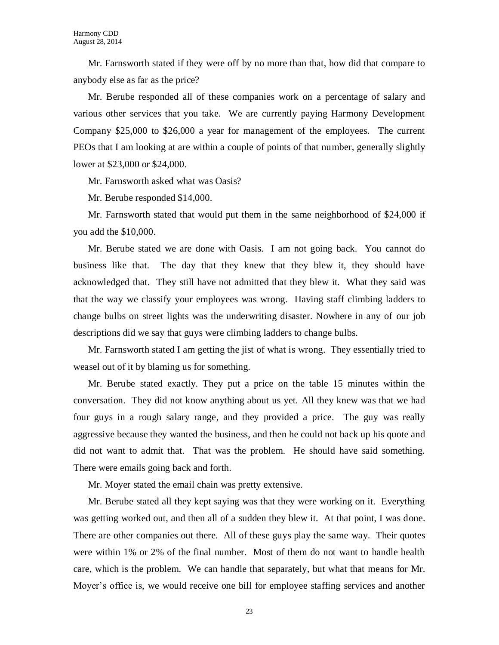Mr. Farnsworth stated if they were off by no more than that, how did that compare to anybody else as far as the price?

Mr. Berube responded all of these companies work on a percentage of salary and various other services that you take. We are currently paying Harmony Development Company \$25,000 to \$26,000 a year for management of the employees. The current PEOs that I am looking at are within a couple of points of that number, generally slightly lower at \$23,000 or \$24,000.

Mr. Farnsworth asked what was Oasis?

Mr. Berube responded \$14,000.

Mr. Farnsworth stated that would put them in the same neighborhood of \$24,000 if you add the \$10,000.

Mr. Berube stated we are done with Oasis. I am not going back. You cannot do business like that. The day that they knew that they blew it, they should have acknowledged that. They still have not admitted that they blew it. What they said was that the way we classify your employees was wrong. Having staff climbing ladders to change bulbs on street lights was the underwriting disaster. Nowhere in any of our job descriptions did we say that guys were climbing ladders to change bulbs.

Mr. Farnsworth stated I am getting the jist of what is wrong. They essentially tried to weasel out of it by blaming us for something.

Mr. Berube stated exactly. They put a price on the table 15 minutes within the conversation. They did not know anything about us yet. All they knew was that we had four guys in a rough salary range, and they provided a price. The guy was really aggressive because they wanted the business, and then he could not back up his quote and did not want to admit that. That was the problem. He should have said something. There were emails going back and forth.

Mr. Moyer stated the email chain was pretty extensive.

Mr. Berube stated all they kept saying was that they were working on it. Everything was getting worked out, and then all of a sudden they blew it. At that point, I was done. There are other companies out there. All of these guys play the same way. Their quotes were within 1% or 2% of the final number. Most of them do not want to handle health care, which is the problem. We can handle that separately, but what that means for Mr. Moyer's office is, we would receive one bill for employee staffing services and another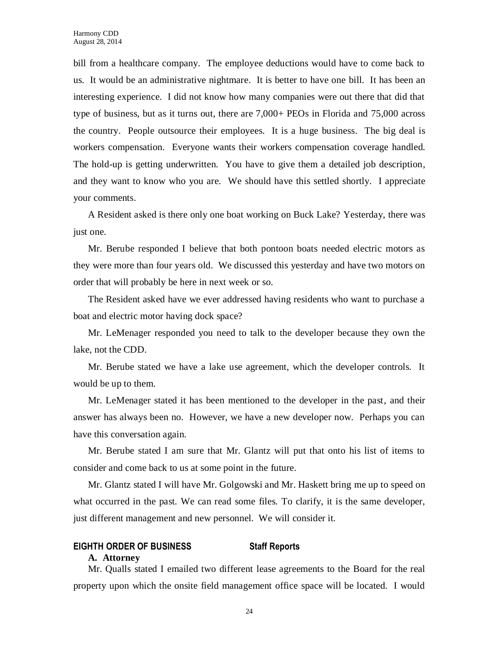bill from a healthcare company. The employee deductions would have to come back to us. It would be an administrative nightmare. It is better to have one bill. It has been an interesting experience. I did not know how many companies were out there that did that type of business, but as it turns out, there are 7,000+ PEOs in Florida and 75,000 across the country. People outsource their employees. It is a huge business. The big deal is workers compensation. Everyone wants their workers compensation coverage handled. The hold-up is getting underwritten. You have to give them a detailed job description, and they want to know who you are. We should have this settled shortly. I appreciate your comments.

A Resident asked is there only one boat working on Buck Lake? Yesterday, there was just one.

Mr. Berube responded I believe that both pontoon boats needed electric motors as they were more than four years old. We discussed this yesterday and have two motors on order that will probably be here in next week or so.

The Resident asked have we ever addressed having residents who want to purchase a boat and electric motor having dock space?

Mr. LeMenager responded you need to talk to the developer because they own the lake, not the CDD.

Mr. Berube stated we have a lake use agreement, which the developer controls. It would be up to them.

Mr. LeMenager stated it has been mentioned to the developer in the past, and their answer has always been no. However, we have a new developer now. Perhaps you can have this conversation again.

Mr. Berube stated I am sure that Mr. Glantz will put that onto his list of items to consider and come back to us at some point in the future.

Mr. Glantz stated I will have Mr. Golgowski and Mr. Haskett bring me up to speed on what occurred in the past. We can read some files. To clarify, it is the same developer, just different management and new personnel. We will consider it.

#### **EIGHTH ORDER OF BUSINESS Staff Reports**

#### **A. Attorney**

Mr. Qualls stated I emailed two different lease agreements to the Board for the real property upon which the onsite field management office space will be located. I would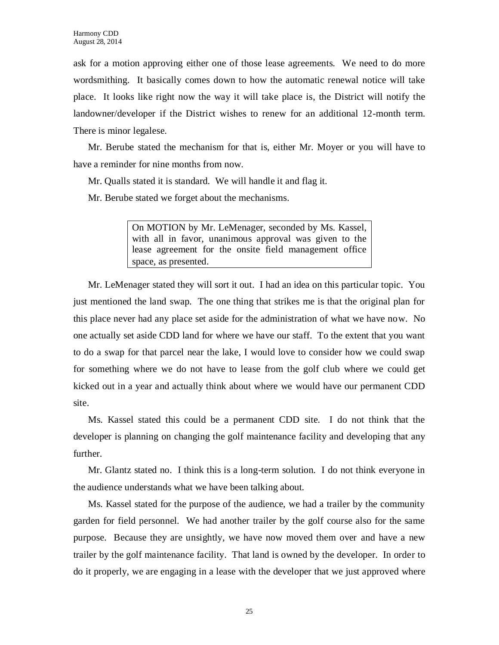ask for a motion approving either one of those lease agreements. We need to do more wordsmithing. It basically comes down to how the automatic renewal notice will take place. It looks like right now the way it will take place is, the District will notify the landowner/developer if the District wishes to renew for an additional 12-month term. There is minor legalese.

Mr. Berube stated the mechanism for that is, either Mr. Moyer or you will have to have a reminder for nine months from now.

Mr. Qualls stated it is standard. We will handle it and flag it.

Mr. Berube stated we forget about the mechanisms.

On MOTION by Mr. LeMenager, seconded by Ms. Kassel, with all in favor, unanimous approval was given to the lease agreement for the onsite field management office space, as presented.

Mr. LeMenager stated they will sort it out. I had an idea on this particular topic. You just mentioned the land swap. The one thing that strikes me is that the original plan for this place never had any place set aside for the administration of what we have now. No one actually set aside CDD land for where we have our staff. To the extent that you want to do a swap for that parcel near the lake, I would love to consider how we could swap for something where we do not have to lease from the golf club where we could get kicked out in a year and actually think about where we would have our permanent CDD site.

Ms. Kassel stated this could be a permanent CDD site. I do not think that the developer is planning on changing the golf maintenance facility and developing that any further.

Mr. Glantz stated no. I think this is a long-term solution. I do not think everyone in the audience understands what we have been talking about.

Ms. Kassel stated for the purpose of the audience, we had a trailer by the community garden for field personnel. We had another trailer by the golf course also for the same purpose. Because they are unsightly, we have now moved them over and have a new trailer by the golf maintenance facility. That land is owned by the developer. In order to do it properly, we are engaging in a lease with the developer that we just approved where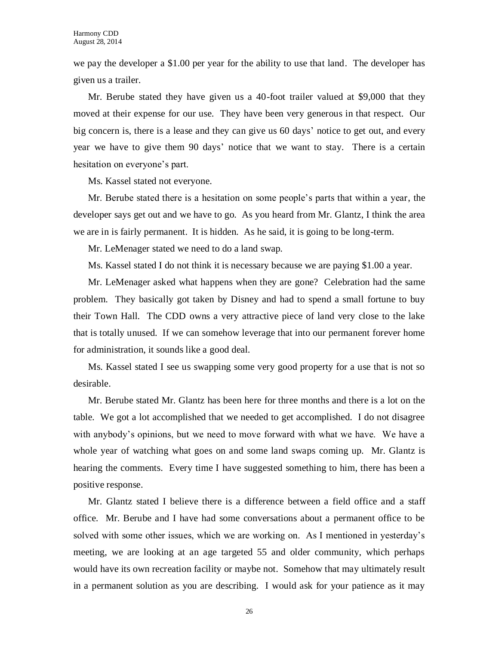we pay the developer a \$1.00 per year for the ability to use that land. The developer has given us a trailer.

Mr. Berube stated they have given us a 40-foot trailer valued at \$9,000 that they moved at their expense for our use. They have been very generous in that respect. Our big concern is, there is a lease and they can give us 60 days' notice to get out, and every year we have to give them 90 days' notice that we want to stay. There is a certain hesitation on everyone's part.

Ms. Kassel stated not everyone.

Mr. Berube stated there is a hesitation on some people's parts that within a year, the developer says get out and we have to go. As you heard from Mr. Glantz, I think the area we are in is fairly permanent. It is hidden. As he said, it is going to be long-term.

Mr. LeMenager stated we need to do a land swap.

Ms. Kassel stated I do not think it is necessary because we are paying \$1.00 a year.

Mr. LeMenager asked what happens when they are gone? Celebration had the same problem. They basically got taken by Disney and had to spend a small fortune to buy their Town Hall. The CDD owns a very attractive piece of land very close to the lake that is totally unused. If we can somehow leverage that into our permanent forever home for administration, it sounds like a good deal.

Ms. Kassel stated I see us swapping some very good property for a use that is not so desirable.

Mr. Berube stated Mr. Glantz has been here for three months and there is a lot on the table. We got a lot accomplished that we needed to get accomplished. I do not disagree with anybody's opinions, but we need to move forward with what we have. We have a whole year of watching what goes on and some land swaps coming up. Mr. Glantz is hearing the comments. Every time I have suggested something to him, there has been a positive response.

Mr. Glantz stated I believe there is a difference between a field office and a staff office. Mr. Berube and I have had some conversations about a permanent office to be solved with some other issues, which we are working on. As I mentioned in yesterday's meeting, we are looking at an age targeted 55 and older community, which perhaps would have its own recreation facility or maybe not. Somehow that may ultimately result in a permanent solution as you are describing. I would ask for your patience as it may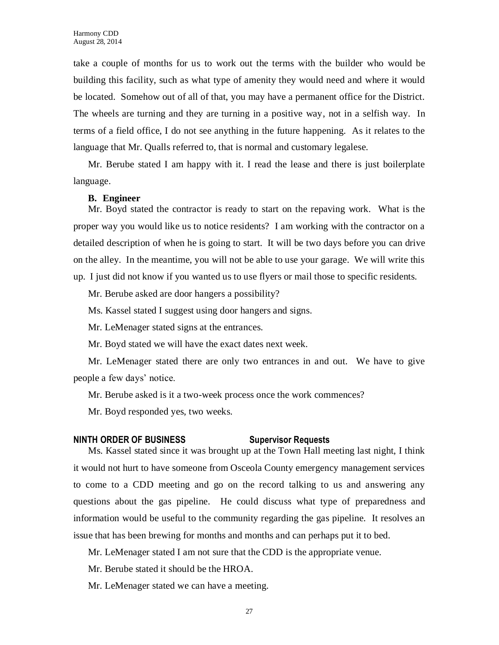take a couple of months for us to work out the terms with the builder who would be building this facility, such as what type of amenity they would need and where it would be located. Somehow out of all of that, you may have a permanent office for the District. The wheels are turning and they are turning in a positive way, not in a selfish way. In terms of a field office, I do not see anything in the future happening. As it relates to the language that Mr. Qualls referred to, that is normal and customary legalese.

Mr. Berube stated I am happy with it. I read the lease and there is just boilerplate language.

#### **B. Engineer**

Mr. Boyd stated the contractor is ready to start on the repaving work. What is the proper way you would like us to notice residents? I am working with the contractor on a detailed description of when he is going to start. It will be two days before you can drive on the alley. In the meantime, you will not be able to use your garage. We will write this up. I just did not know if you wanted us to use flyers or mail those to specific residents.

Mr. Berube asked are door hangers a possibility?

Ms. Kassel stated I suggest using door hangers and signs.

Mr. LeMenager stated signs at the entrances.

Mr. Boyd stated we will have the exact dates next week.

Mr. LeMenager stated there are only two entrances in and out. We have to give people a few days' notice.

Mr. Berube asked is it a two-week process once the work commences?

Mr. Boyd responded yes, two weeks.

#### **NINTH ORDER OF BUSINESS Supervisor Requests**

Ms. Kassel stated since it was brought up at the Town Hall meeting last night, I think it would not hurt to have someone from Osceola County emergency management services to come to a CDD meeting and go on the record talking to us and answering any questions about the gas pipeline. He could discuss what type of preparedness and information would be useful to the community regarding the gas pipeline. It resolves an issue that has been brewing for months and months and can perhaps put it to bed.

Mr. LeMenager stated I am not sure that the CDD is the appropriate venue.

Mr. Berube stated it should be the HROA.

Mr. LeMenager stated we can have a meeting.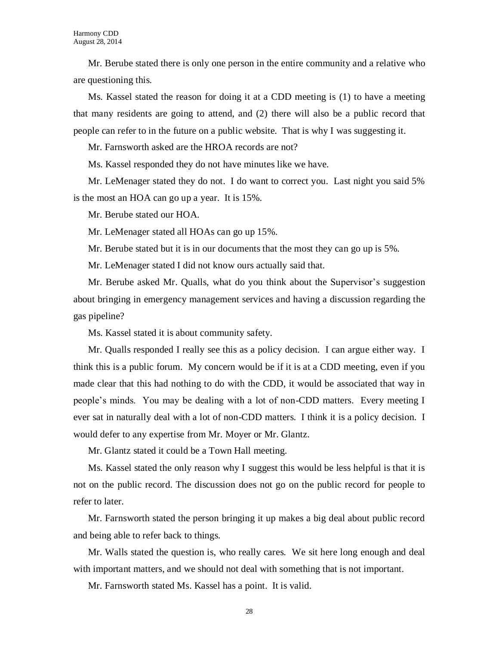Mr. Berube stated there is only one person in the entire community and a relative who are questioning this.

Ms. Kassel stated the reason for doing it at a CDD meeting is (1) to have a meeting that many residents are going to attend, and (2) there will also be a public record that people can refer to in the future on a public website. That is why I was suggesting it.

Mr. Farnsworth asked are the HROA records are not?

Ms. Kassel responded they do not have minutes like we have.

Mr. LeMenager stated they do not. I do want to correct you. Last night you said 5% is the most an HOA can go up a year. It is 15%.

Mr. Berube stated our HOA.

Mr. LeMenager stated all HOAs can go up 15%.

Mr. Berube stated but it is in our documents that the most they can go up is 5%.

Mr. LeMenager stated I did not know ours actually said that.

Mr. Berube asked Mr. Qualls, what do you think about the Supervisor's suggestion about bringing in emergency management services and having a discussion regarding the gas pipeline?

Ms. Kassel stated it is about community safety.

Mr. Qualls responded I really see this as a policy decision. I can argue either way. I think this is a public forum. My concern would be if it is at a CDD meeting, even if you made clear that this had nothing to do with the CDD, it would be associated that way in people's minds. You may be dealing with a lot of non-CDD matters. Every meeting I ever sat in naturally deal with a lot of non-CDD matters. I think it is a policy decision. I would defer to any expertise from Mr. Moyer or Mr. Glantz.

Mr. Glantz stated it could be a Town Hall meeting.

Ms. Kassel stated the only reason why I suggest this would be less helpful is that it is not on the public record. The discussion does not go on the public record for people to refer to later.

Mr. Farnsworth stated the person bringing it up makes a big deal about public record and being able to refer back to things.

Mr. Walls stated the question is, who really cares. We sit here long enough and deal with important matters, and we should not deal with something that is not important.

Mr. Farnsworth stated Ms. Kassel has a point. It is valid.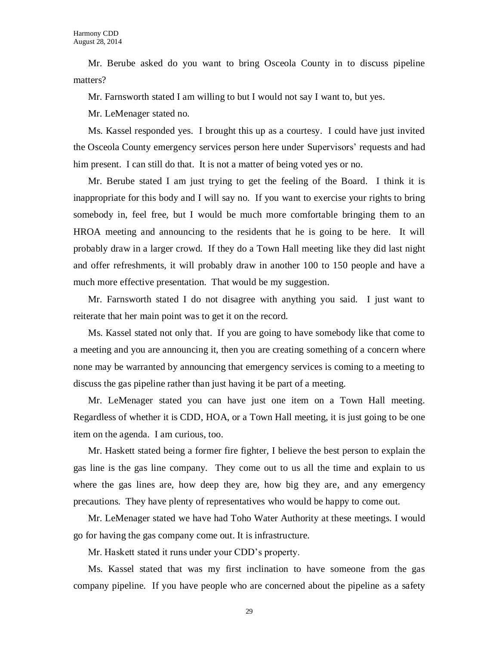Mr. Berube asked do you want to bring Osceola County in to discuss pipeline matters?

Mr. Farnsworth stated I am willing to but I would not say I want to, but yes.

Mr. LeMenager stated no.

Ms. Kassel responded yes. I brought this up as a courtesy. I could have just invited the Osceola County emergency services person here under Supervisors' requests and had him present. I can still do that. It is not a matter of being voted yes or no.

Mr. Berube stated I am just trying to get the feeling of the Board. I think it is inappropriate for this body and I will say no. If you want to exercise your rights to bring somebody in, feel free, but I would be much more comfortable bringing them to an HROA meeting and announcing to the residents that he is going to be here. It will probably draw in a larger crowd. If they do a Town Hall meeting like they did last night and offer refreshments, it will probably draw in another 100 to 150 people and have a much more effective presentation. That would be my suggestion.

Mr. Farnsworth stated I do not disagree with anything you said. I just want to reiterate that her main point was to get it on the record.

Ms. Kassel stated not only that. If you are going to have somebody like that come to a meeting and you are announcing it, then you are creating something of a concern where none may be warranted by announcing that emergency services is coming to a meeting to discuss the gas pipeline rather than just having it be part of a meeting.

Mr. LeMenager stated you can have just one item on a Town Hall meeting. Regardless of whether it is CDD, HOA, or a Town Hall meeting, it is just going to be one item on the agenda. I am curious, too.

Mr. Haskett stated being a former fire fighter, I believe the best person to explain the gas line is the gas line company. They come out to us all the time and explain to us where the gas lines are, how deep they are, how big they are, and any emergency precautions. They have plenty of representatives who would be happy to come out.

Mr. LeMenager stated we have had Toho Water Authority at these meetings. I would go for having the gas company come out. It is infrastructure.

Mr. Haskett stated it runs under your CDD's property.

Ms. Kassel stated that was my first inclination to have someone from the gas company pipeline. If you have people who are concerned about the pipeline as a safety